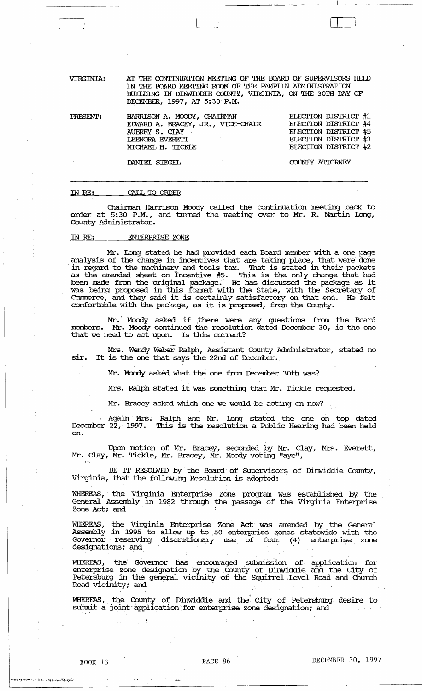VIRGINIA: AT THE CONTINUATION MEETING OF THE BOARD OF SUPERVISORS HELD IN THE OOARD MEEl'ING RCOM OF THE PAMPLIN AIMINISTRATION BUIIDING IN DINWIDDIE COUNTY, VIRGINIA, ON THE 30TH DAY OF DECEMBER, 1997, AT 5:30 P.M.

 $\Box$ 

| PRESENT: | HARRISON A. MOODY, CHAIRMAN<br>EDWARD A. BRACEY, JR., VICE-CHAIR<br>AUBREY S. CIAY<br>LEENORA EVERETT | ELECTION DISTRICT #1<br>ELECTION DISTRICT #4<br>ELECTION DISTRICT #5<br>ELECTION DISTRICT #3 |
|----------|-------------------------------------------------------------------------------------------------------|----------------------------------------------------------------------------------------------|
|          | MICHAEL H. TICKLE<br>DANIEL STEGEL                                                                    | ELECTION DISTRICT #2<br>COUNTY ATTORNEY                                                      |

### IN *RE:*  CALL TO ORDER

Chainnan Harrison Moody called the continuation meeting back to order at 5:30 P.M., and turned the meeting over to Mr. R. Martin long, County Administrator.

# IN RE: ENTERPRISE ZONE

Mr. Long stated he had provided each Board member with a one page analysis of the change in incentives that are taking place, that were done analysis of the change in incentives that are taking place, that were done in regard to the machinery and tools tax. That is stated in their packets as the amended sheet on Incentive #5. This is the only change that had been made from the original package. He has discussed the package as it was being proposed in this format with the state, with the Secretary of Cormnerce, and they said it is certainly satisfactory on that end. He felt comfortable with the package, as it is proposed, from the County.

Mr. Moody asked if there were any questions from the Board members. Mr. Moody continued the resolution dated December 30, is the one that we need to act upon. Is this correct?

Mrs. Wendy Weber-Ralph, Assistant County Administrator, stated no sir. It is the one that says the 22nd of December.

Mr. Moody asked what the one from December 30th was?

Mrs. Ralph stated it was something that Mr. Tickle requested.

Mr. Bracey asked which one we would be acting on now?

. Again Mrs.; Ralph and Mr. long stated the one on top dated December 22, 1997. This is the resolution a Public Hearing had been held on.

Upon motion of Mr. Bracey, seconded by Mr. Clay, Mrs. Everett, Mr. Clay, Mr. Tickle, Mr. Bracey, Mr. Moody voting "aye",

BE IT RESOLVED by the Board of Supervisors of Dinwiddie County, Virginia, that the following Resolution is adopted:

WHEREAS, the Virginia Enterprise Zone program was established by the General Assembly in 1982 through the passage of the Virginia Enterprise Zone Act; and

WHEREAS, the Virginia Enterprise 'Zone Act was amended by the General Assembly in 1995 to allow up to 50 enterprise zones statewide with the Governor reserving discretionary use of four (4) enterprise zone  $\alpha$  . The designations; and  $\alpha$ 

WHEREAS, the Governor has encouraged submission of application for enterprise zone designation by the County of Dinwiddie and the City of Petersburg in the general vicinity of the Squirrel Level Road and Church Road vicinity; and 's and state's state by and state in the state of the state of the state of the state of the state of the state of the state of the state of the state of the state of the state of the state of the state

WHEREAS, the County of Dinwiddie and the. city of Petersburg desire to submit a joint application for enterprise zone designation; and

niki merupan timungi penganji yan

 $\sim 72$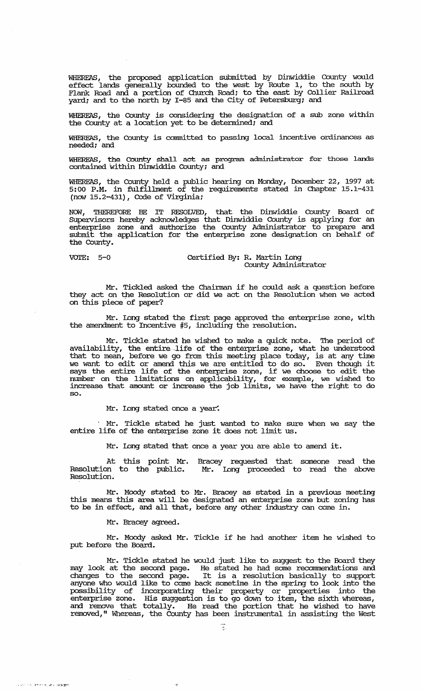WHEREAS, the proposed application submitted by Dinwiddie County would effect lands generally bounded to the west by Route 1, to the south by Flank Road and a portion of Church Road; to the east by Collier Railroad yard; and to the north by 1-85 and the city of Petersburg; and

WHEREAS, the County is considering the designation of a sub zone within the County at a location yet to be detennined; and

WHEREAS, the County is committed to passing local incentive ordinances as needed; and

WHEREAS, the county shall act as program administrator for those lands contained within Dinwiddie County; and

WHEREAS, the County held a public hearing on Monday, December 22, 1997 at 5:00 P.M. in fulfillment of the requirements stated in Chapter 15.1-431 (now  $15.2 - 431$ ), Code of Virginia;

NOW, THEREFORE BE IT RESOLVED, that the Dinwiddie County Board of Supervisors hereby acknowledges that Dinwiddie County is applying for an enterprise zone and authorize the County Administrator to prepare and submit the application for the enterprise zone designation on behalf of the County.

-; : r><' " \' .... "C'. ';~';l ';ir"'-

# VOIE: 5-0 Certified By: R. Martin Long County Administrator

Mr. Tickled asked the Chairman if he could ask a question before they act on tpe Resolution or did we act on the Resolution when we acted on this piece of paper?

Mr. Long stated the first page approved the enterprise zone, with the amendment to Incentive #5, including the resolution.

Mr. Tickle stated he wished to make a quick note. The period of availability, the entire-life of the enterprise zone, what he understood that to mean, before we go from this meeting place today, is at any time we want to edit or amend this we are entitled to do so. Even though it we want to ein the antenna units we are entitled to do so. Even drough it number on the limitations on applicability, for example, we wished to increase that amount or increase the job limits, we have the right to do so.

Mr. long stated once a year.

Mr. Tickle stated he just wanted to make sure when we say the entire life of the enterprise zone it does not limit us.

Mr. long stated that once a year you are able to amend it.

At this point Mr. Resolution to the public. Resolution. Bracey requested that someone read the Mr. Long proceeded to read the above

Mr. Moody stated to Mr. Bracey as stated in a previous meeting this means this area will be designated an enterprise zone but zoning has to be in effect, and all that, before any other industry can come in.

Mr. Bracey agreed.

Mr. Moody asked Mr. Tickle if he had another item he wished to put before the Board.

Mr. Tickle stated he would just like to suggest to the Board they may look at the second page. He stated he had some recommendations and changes to the second page. It is a resolution basically to support anyone who would like to come back sometime in the spring to look into the possibility of incorporating their property or properties into the enterprise zone. His suggestion is to go down to item, the sixth whereas, and remove that totally. He read the portion that he wished to have removed," Whereas, the County has been instrumental in assisting the West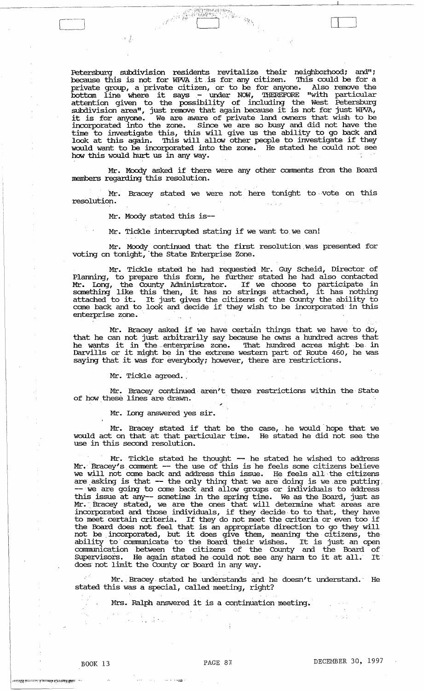Petersburg subdivision residents revitalize their neighborhood; and"; because this is not for WPVA it is for any citizen. This could be for a private group, a private citizen, or to be for anyone. Also remove the bottom line where it says - under NOW, THEREFORE "with particular attention given to the possibility of including the West Petersburg subdivision area", just remove that again because it is not for just WPVA, supdivision area", just remove that again because it is not for just with,<br>it is for anyone. We are aware of private land owners that wish to be incorporated into the zone. Since we are so busy and did not have the time to investigate this, this will give us the ability to 'go back and Line to investigate this, this will give us the unitry to go back that look at this again. This will allow other people to investigate if they would want to be incorporated into the zone. He stated he could not see how this would hurt us in any way.

 $\Box$ 

Mr. Moody asked if there were any other comments from the Board members regarding this resolution.

Mr. Bracey stated we were not here tonight to vote on this resolution.

Mr. Moody stated this is--

 $\label{eq:R1} \mathcal{F}^{\mathcal{R}}=\bigcup_{i=1}^k \mathcal{F}_i$ 

Mr. Tickle interrupted stating if we want to we can!

Mr. Moody continued that the first resolution. was presented for voting on tonight, the State Enterprise Zone.

Mr. Tickle stated he had requested Mr. Guy Scheid, Director of Planning, to prepare this form, he further stated he had also contacted Mr. long, the County Administrator. If we choose to participate in Mr. Long, the county Administrator. If we choose to participate in<br>something like this then, it has no strings attached, it has nothing something the different in its lies. The settings actually, it has houning attached to it. It just gives the citizens of the County the ability to corne back and to look and decide if they wish to be incorporated' in this enterprise zone.

Mr. Bracey asked if we have certain things that we have to do, that he can not just arbitrarily say because he owns a hundred acres that he wants it in the enterprise zone. That hundred acres might be, in ne wants it in the enterprise zone. That hundred acres might be in<br>Darvills or it might be in the extreme western part of Route 460, he was saying that it was for everybody; however, there are restrictions.

Mr. Tickle agreed. ,

Mr. Bracey continued aren't there restrictions within the State of how these lines are drawn.

Mr. long answered yes sir.

Mr. Bracey stated if that be the case, he would hope that we would act on that at that particular time. He stated he did not see the use in this second resolution.

Mr. Tickle stated he thought -- he stated he wished to address Mr. Bracey's comment -- the use of this is he feels some citizens believe we will not come back and address this issue. He feels all the citizens are asking is that -- the only thing that we are doing is we are putting.<br>-- we are going to come back and allow groups or individuals to address this issue at any-- sometime in the spring time. We as the Board, just as Mr. Bracey stated, we are the ones that will determine what areas are incorporated and those individuals, if they decide to to that, they have to meet certain criteria. If they do not meet the criteria or even too if the Board does not feel that is an appropriate direction to go they will not be. incorporated, but it does give them, meaning the citizens, the ability to communicate to the Board their wishes. It is just an open communication between the citizens of the County and the Board of Supervisors. He again stated he could not see any harm to it at all. It does not limit the County or Board in any way.

Mr. Bracey stated he understands and he doesn't understand. He stated this was a special, called' meeting, right?

Mrs. Ralph answered it is a continuation meeting.

""/'4'2'

.<br>Konfederation of the confederation of the Maria and the confederation of the confederation of the confederation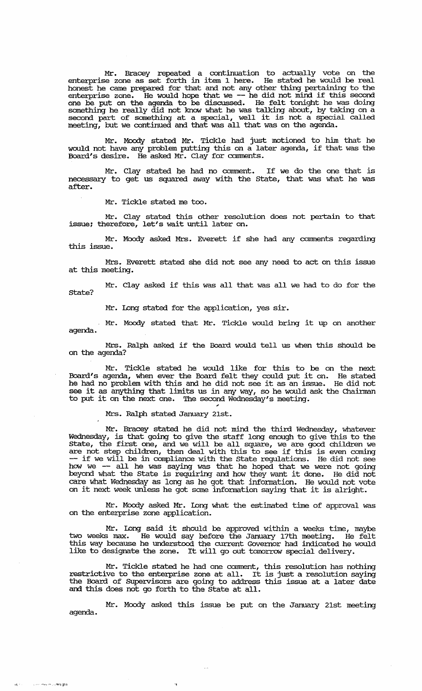Mr. Bracey repeated a continuation to actually vote on the enterprise zone as set forth in item 1 here. He stated he would be real honest he came prepared for that and not any other thing pertaining to the enterprise zone. He would hope that we -- he did not mind if this second one be put on the agenda to be discussed. He felt tonight he was doing something he really did not know what he was talking about, by taking on a second part of something at a special, well it is not a special called meeting, but we continued and that was all that was on the agenda.

Mr. Moody stated Mr. Tickle had just motioned to him that he would not have any problem putting this on a later agenda, if that was the Board's desire. He asked Mr. Clay for comments.

Mr. Clay stated be had no conunent. If we do the one that is necessary to get us squared away with the state, that was what he was after.

Mr. Tickle stated me too.

Mr. Clay stated this other resolution does not pertain to that issue; therefore, let's wait until later on.

Mr. Moody asked Mrs. Everett if she had any comments regarding this issue.

Mrs. Everett stated she did not see any need to act on this issue at this meeting.

Mr. Clay asked if this was all that was all we had to do for the state?

Mr. Long stated for the application, yes sir.

Mr. Moody stated that Mr. Tickle would bring it up on another agenda.

Mrs. Ralph asked if the Board would tell us when this should be on the agenda?

Mr. Tickle stated he would like for this to be on the next Board's agenda, when ever the Board felt they could put it on. He stated he had no problem with this and he did not see it as an issue. He did not see it as anything that limits us in any way, so he would ask the Chairman see it as any diming that in miles us in any way, so he would a<br>to put it on the next one. The second Wednesday's meeting.

" Mrs. Ralph stated January 21st.

-,

';!,' • -,.,'''. ,1';l'-i;'l.';!

Mr. Bracey stated he did not mind the third Wednesday, whatever Wednesday, is that going to give the staff long enough to give this to the state, the first one, and we will be all square, we are good children we state, the first one, and we wifi be all square, we are good children we<br>are not step children, then deal with this to see if this is even coming are not step difficultif, then dear with this to see if this is even coming<br>-- if we will be in compliance with the State regulations. He did not see how we -- all he was saying was that he hoped that we were not going how we -- all he was saying was that he hoped that we were not going<br>beyond what the State is requiring and how they want it done. He did not care what Wednesday as long as he got that infonnation. He would not vote on it next week unless he got some infonuation saying that it is alright.

Mr. Moody asked Mr. Long what the estimated time of approval was on the enterprise zone application.

Mr. Long said it should be approved within a weeks time, maybe two weeks max. He would say before the January 17th meeting. He felt this way because he understood the current Govexnor had indicated he would like to designate the zone. It will go out tomorrow special delivery.

Mr. Tickle stated he had one comment, this resolution has nothing restrictive to the enterprise zone at all. It is just a resolution saying the Board of SUpervisors are going to address this issue at a later date and this does not go forth to the state at all.

Mr. Moody asked this issue be put on the January 21st meeting agenda .